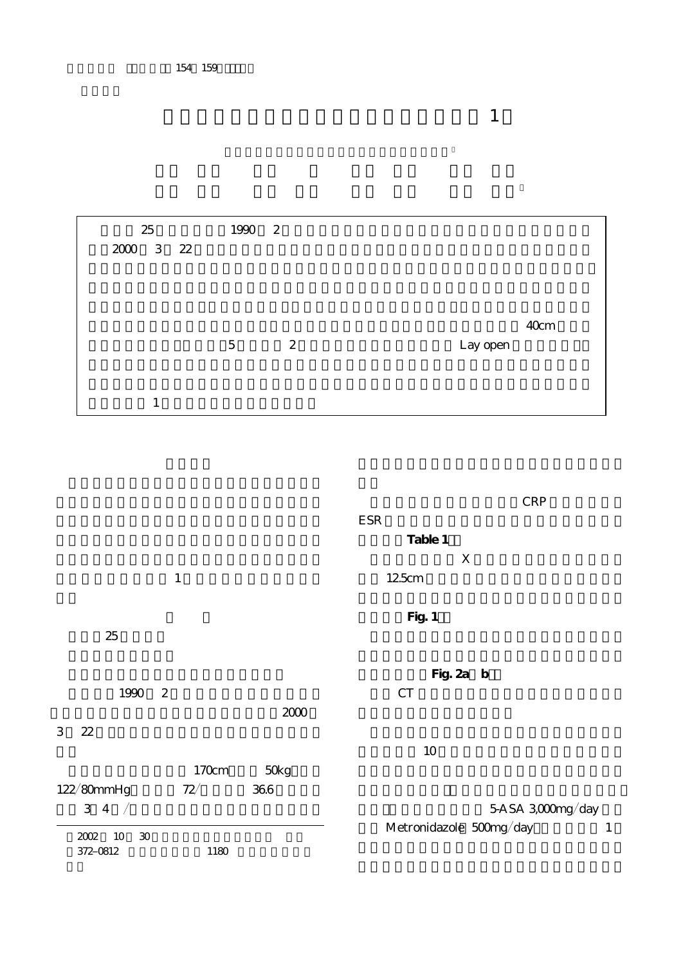| 25                              | 1990 2         |               |      |
|---------------------------------|----------------|---------------|------|
| $2000$ $\,$ 3 $\,$ $\,$ 22 $\,$ |                |               |      |
|                                 |                |               |      |
|                                 |                |               |      |
|                                 |                |               | 40cm |
|                                 | $\overline{5}$ | 2<br>Lay open |      |
|                                 |                |               |      |
|                                 |                |               |      |
| 1                               |                |               |      |

 $\frac{1}{2}$ 

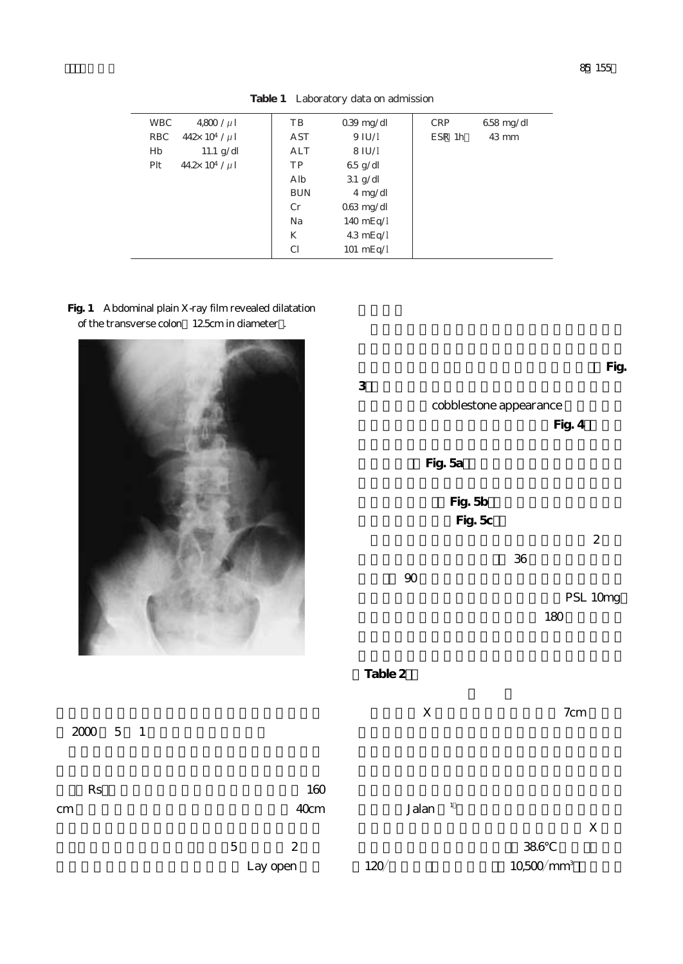| <b>WBC</b> | $4800 / \mu$            | TB            | $039 \text{ mg/dl}$ | <b>CRP</b> | $658 \text{ mg/dl}$ |  |
|------------|-------------------------|---------------|---------------------|------------|---------------------|--|
| RBC        | $442 \times 10^4 / \mu$ | AST           | 9 IU/I              | ESR 1h     | $43 \text{ mm}$     |  |
| Hb         | 11.1 $g/dl$             | ALT           | $8$ IU/I            |            |                     |  |
| Plt        | $442 \times 10^4 / \mu$ | TP            | $65$ g/dl           |            |                     |  |
|            |                         | Alb           | $31 \text{ g/dl}$   |            |                     |  |
|            |                         | <b>BUN</b>    | $4 \text{ mg/dl}$   |            |                     |  |
|            |                         | Cr            | $063 \text{ mg/dl}$ |            |                     |  |
|            |                         | Na            | $140 \text{ mEq}/I$ |            |                     |  |
|            |                         | K             | $43 \text{ mEq}/I$  |            |                     |  |
|            |                         | <sub>C1</sub> | $101 \text{ mEq}/I$ |            |                     |  |
|            |                         |               |                     |            |                     |  |

**Table 1** Laboratory data on admission

**Fig. 1** Abdominal plain X-ray film revealed dilatation of the transverse colon 12.5cm in diameter.



Lay open

 $2000$  5 1

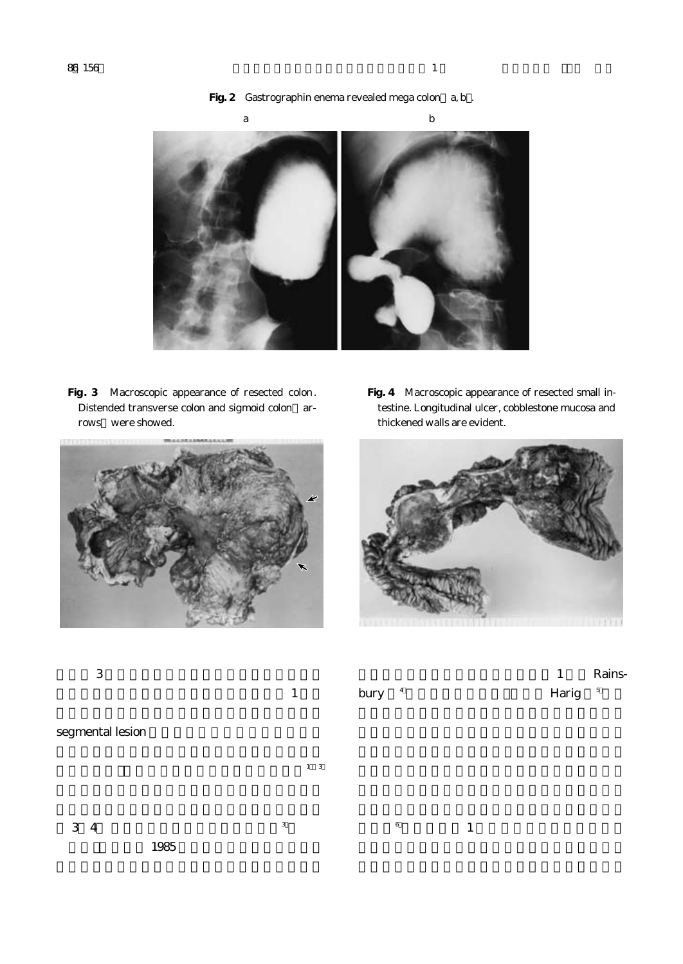

**Fig. 3** Macroscopic appearance of resected colon. Distended transverse colon and sigmoid colon arrows were showed.



**Fig. 4** Macroscopic appearance of resected small intestine. Longitudinal ulcer, cobblestone mucosa and thickened walls are evident.



| 3                | $\mathbf{1}$ | bury 4  |              | Rains-<br>$\mathbf{1}$<br>$5\phantom{.0}$<br>Harig |
|------------------|--------------|---------|--------------|----------------------------------------------------|
| segmental lesion |              |         |              |                                                    |
|                  | $1\quad 3$   |         |              |                                                    |
| 3 4<br>1985      | $_{\rm 3}$   | $\,6\,$ | $\mathbf{1}$ |                                                    |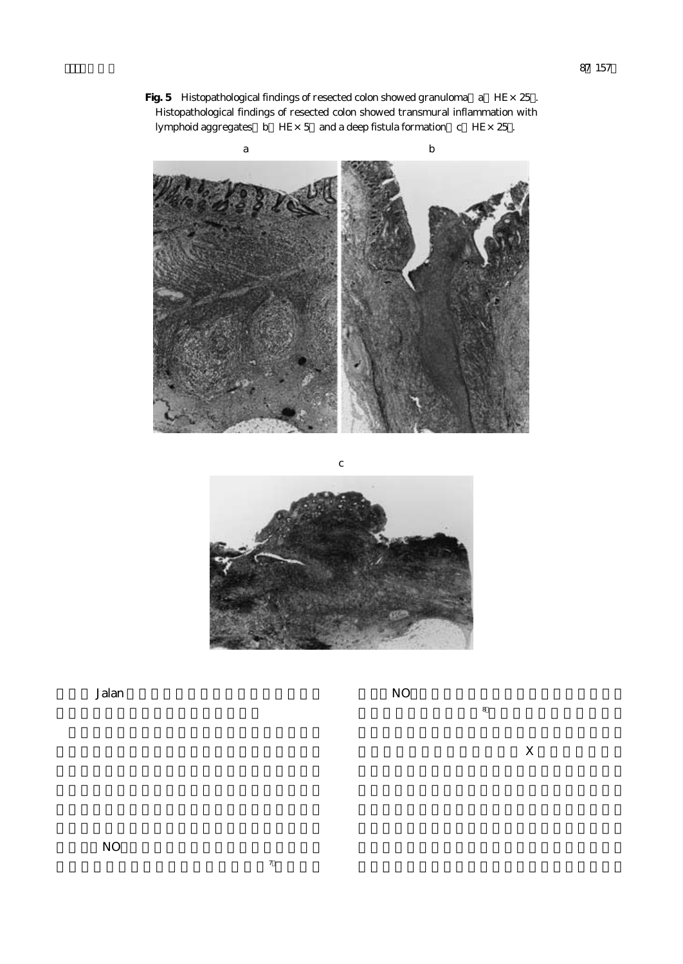Fig. 5 Histopathological findings of resected colon showed granuloma a HE $\times$ 25 . Histopathological findings of resected colon showed transmural inflammation with lymphoid aggregates  $\overline{b}$  HE× 5 and a deep fistula formation c HE×25.





Jalan

 $N$ O $\overline{N}$ 

 $X$ 

 $\sim$  8), the experimental 8

 $\frac{1}{2}$ .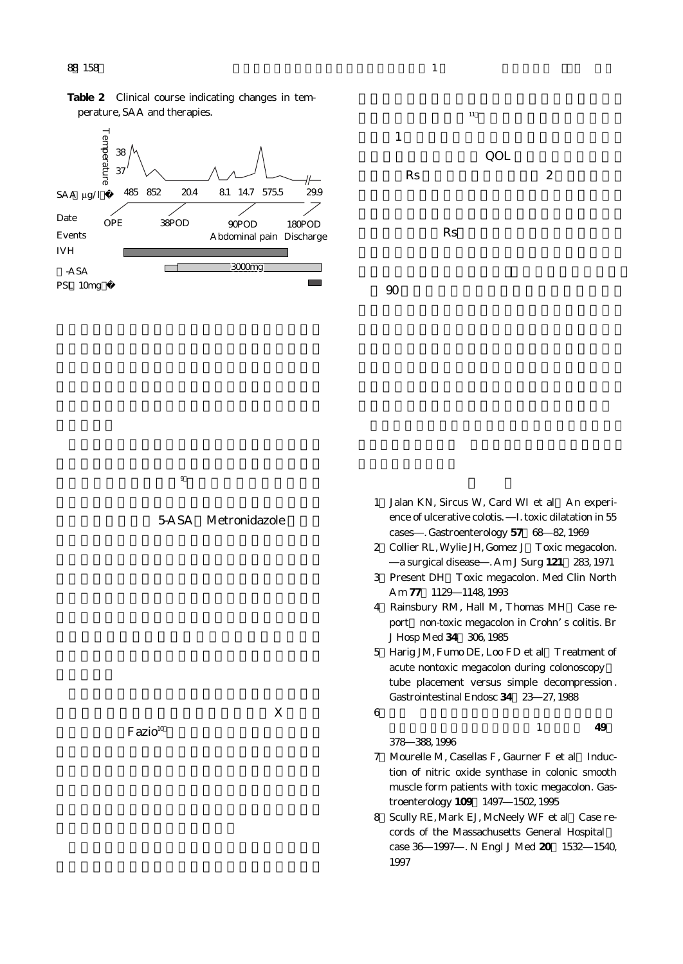

 $9$ .

5-ASA Metronidazole





|                     |   |   | cases . Gastroenterology 57 68 82, 1969          |
|---------------------|---|---|--------------------------------------------------|
|                     |   |   | 2 Collier RL, Wylie JH, Gomez J Toxic megacolon. |
|                     |   |   | a surgical disease . Am J Surg 121 283, 1971     |
|                     |   |   | 3 Present DH Toxic megacolon. Med Clin North     |
|                     |   |   | Am 77 1129 1148 1993                             |
|                     |   |   | 4 Rainsbury RM, Hall M, Thomas MH Case re-       |
|                     |   |   | port non-toxic megacolon in Crohn's colitis. Br  |
|                     |   |   | J Hosp Med 34 306, 1985                          |
|                     |   |   | 5 Harig JM, Fumo DE, Loo FD et al Treatment of   |
|                     |   |   | acute nontoxic megacolon during colonoscopy      |
|                     |   |   | tube placement versus simple decompression.      |
|                     |   |   | Gastrointestinal Endosc 34 23 27, 1988           |
|                     | X | 6 |                                                  |
| Facio <sup>10</sup> |   |   | 49                                               |
|                     |   |   | 378 388 1996                                     |
|                     |   |   | 7 Mourelle M, Casellas F, Gaurner F et al Induc- |
|                     |   |   | tion of nitric oxide synthase in colonic smooth  |
|                     |   |   |                                                  |

troenterology **109**:1497―1502, 1995 8) Scully RE, Mark EJ, McNeely WF et al Case records of the Massachusetts General Hospital: case 36―1997―. N Engl J Med **20**:1532―1540, 1997

muscle form patients with toxic megacolon. Gas-

1 Jalan KN, Sircus W, Card WI et al An experience of ulcerative colotis. I. toxic dilatation in 55